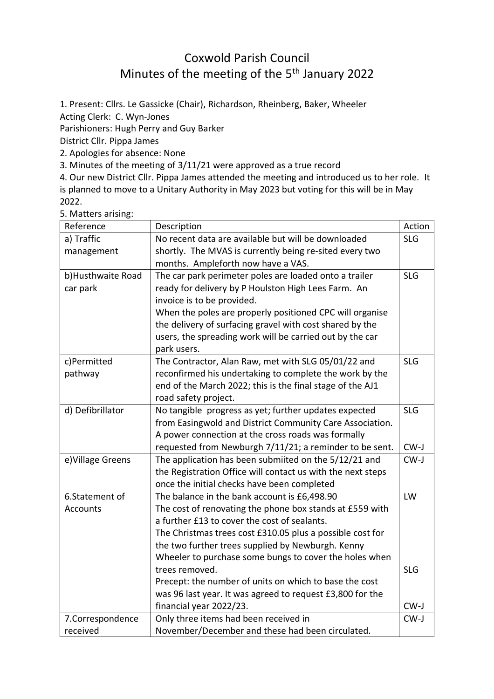## Coxwold Parish Council Minutes of the meeting of the 5<sup>th</sup> January 2022

1. Present: Cllrs. Le Gassicke (Chair), Richardson, Rheinberg, Baker, Wheeler Acting Clerk: C. Wyn-Jones Parishioners: Hugh Perry and Guy Barker District Cllr. Pippa James 2. Apologies for absence: None

3. Minutes of the meeting of 3/11/21 were approved as a true record

4. Our new District Cllr. Pippa James attended the meeting and introduced us to her role. It is planned to move to a Unitary Authority in May 2023 but voting for this will be in May 2022.

| 5. Matters arising: |  |
|---------------------|--|
|---------------------|--|

| Reference         | Description                                                 | Action     |
|-------------------|-------------------------------------------------------------|------------|
| a) Traffic        | No recent data are available but will be downloaded         | <b>SLG</b> |
| management        | shortly. The MVAS is currently being re-sited every two     |            |
|                   | months. Ampleforth now have a VAS.                          |            |
| b)Husthwaite Road | The car park perimeter poles are loaded onto a trailer      | <b>SLG</b> |
| car park          | ready for delivery by P Houlston High Lees Farm. An         |            |
|                   | invoice is to be provided.                                  |            |
|                   | When the poles are properly positioned CPC will organise    |            |
|                   | the delivery of surfacing gravel with cost shared by the    |            |
|                   | users, the spreading work will be carried out by the car    |            |
|                   | park users.                                                 |            |
| c)Permitted       | The Contractor, Alan Raw, met with SLG 05/01/22 and         | <b>SLG</b> |
| pathway           | reconfirmed his undertaking to complete the work by the     |            |
|                   | end of the March 2022; this is the final stage of the AJ1   |            |
|                   | road safety project.                                        |            |
| d) Defibrillator  | No tangible progress as yet; further updates expected       | <b>SLG</b> |
|                   | from Easingwold and District Community Care Association.    |            |
|                   | A power connection at the cross roads was formally          |            |
|                   | requested from Newburgh 7/11/21; a reminder to be sent.     | $CW-J$     |
| e) Village Greens | The application has been submiited on the 5/12/21 and       | $CW-J$     |
|                   | the Registration Office will contact us with the next steps |            |
|                   | once the initial checks have been completed                 |            |
| 6.Statement of    | The balance in the bank account is £6,498.90                | LW         |
| Accounts          | The cost of renovating the phone box stands at £559 with    |            |
|                   | a further £13 to cover the cost of sealants.                |            |
|                   | The Christmas trees cost £310.05 plus a possible cost for   |            |
|                   | the two further trees supplied by Newburgh. Kenny           |            |
|                   | Wheeler to purchase some bungs to cover the holes when      |            |
|                   | trees removed.                                              | <b>SLG</b> |
|                   | Precept: the number of units on which to base the cost      |            |
|                   | was 96 last year. It was agreed to request £3,800 for the   |            |
|                   | financial year 2022/23.                                     | CW-J       |
| 7.Correspondence  | Only three items had been received in                       | $CW-J$     |
| received          | November/December and these had been circulated.            |            |